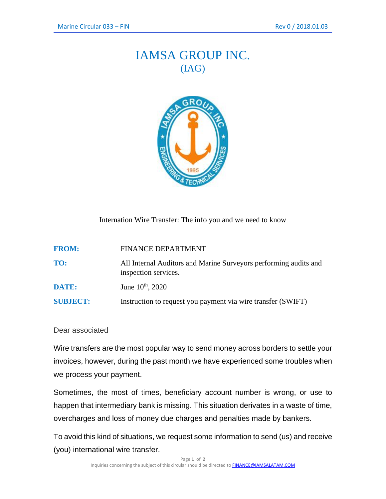## IAMSA GROUP INC. (IAG)



Internation Wire Transfer: The info you and we need to know

| <b>FROM:</b>    | <b>FINANCE DEPARTMENT</b>                                                                |
|-----------------|------------------------------------------------------------------------------------------|
| TO:             | All Internal Auditors and Marine Surveyors performing audits and<br>inspection services. |
| DATE:           | June $10^{th}$ , 2020                                                                    |
| <b>SUBJECT:</b> | Instruction to request you payment via wire transfer (SWIFT)                             |

## Dear associated

Wire transfers are the most popular way to send money across borders to settle your invoices, however, during the past month we have experienced some troubles when we process your payment.

Sometimes, the most of times, beneficiary account number is wrong, or use to happen that intermediary bank is missing. This situation derivates in a waste of time, overcharges and loss of money due charges and penalties made by bankers.

To avoid this kind of situations, we request some information to send (us) and receive (you) international wire transfer.